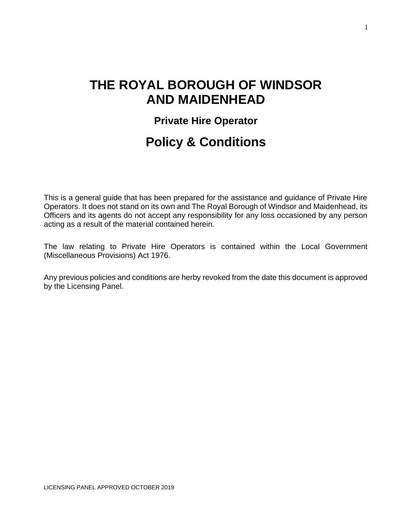# **THE ROYAL BOROUGH OF WINDSOR AND MAIDENHEAD**

# **Private Hire Operator**

# **Policy & Conditions**

This is a general guide that has been prepared for the assistance and guidance of Private Hire Operators. It does not stand on its own and The Royal Borough of Windsor and Maidenhead, its Officers and its agents do not accept any responsibility for any loss occasioned by any person acting as a result of the material contained herein.

The law relating to Private Hire Operators is contained within the Local Government (Miscellaneous Provisions) Act 1976.

Any previous policies and conditions are herby revoked from the date this document is approved by the Licensing Panel.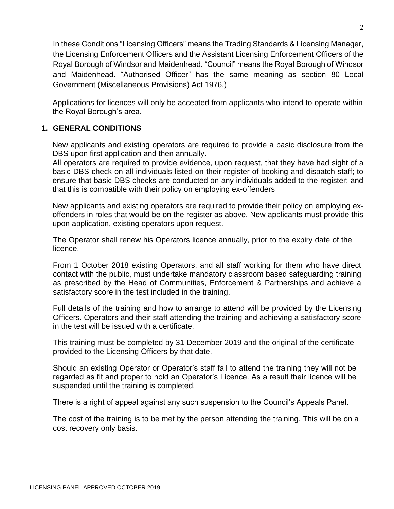In these Conditions "Licensing Officers" means the Trading Standards & Licensing Manager, the Licensing Enforcement Officers and the Assistant Licensing Enforcement Officers of the Royal Borough of Windsor and Maidenhead. "Council" means the Royal Borough of Windsor and Maidenhead. "Authorised Officer" has the same meaning as section 80 Local Government (Miscellaneous Provisions) Act 1976.)

Applications for licences will only be accepted from applicants who intend to operate within the Royal Borough's area.

#### **1. GENERAL CONDITIONS**

New applicants and existing operators are required to provide a basic disclosure from the DBS upon first application and then annually.

All operators are required to provide evidence, upon request, that they have had sight of a basic DBS check on all individuals listed on their register of booking and dispatch staff; to ensure that basic DBS checks are conducted on any individuals added to the register; and that this is compatible with their policy on employing ex-offenders

New applicants and existing operators are required to provide their policy on employing exoffenders in roles that would be on the register as above. New applicants must provide this upon application, existing operators upon request.

The Operator shall renew his Operators licence annually, prior to the expiry date of the licence.

From 1 October 2018 existing Operators, and all staff working for them who have direct contact with the public, must undertake mandatory classroom based safeguarding training as prescribed by the Head of Communities, Enforcement & Partnerships and achieve a satisfactory score in the test included in the training.

Full details of the training and how to arrange to attend will be provided by the Licensing Officers. Operators and their staff attending the training and achieving a satisfactory score in the test will be issued with a certificate.

This training must be completed by 31 December 2019 and the original of the certificate provided to the Licensing Officers by that date.

Should an existing Operator or Operator's staff fail to attend the training they will not be regarded as fit and proper to hold an Operator's Licence. As a result their licence will be suspended until the training is completed.

There is a right of appeal against any such suspension to the Council's Appeals Panel.

The cost of the training is to be met by the person attending the training. This will be on a cost recovery only basis.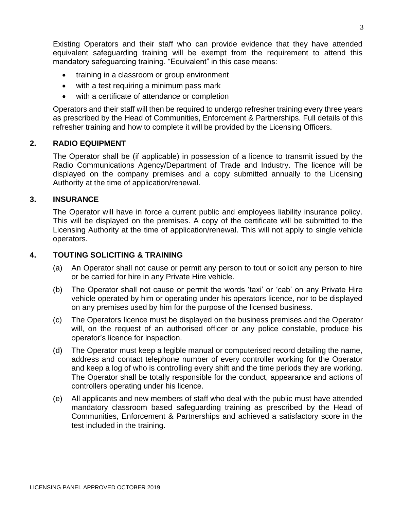Existing Operators and their staff who can provide evidence that they have attended equivalent safeguarding training will be exempt from the requirement to attend this mandatory safeguarding training. "Equivalent" in this case means:

- training in a classroom or group environment
- with a test requiring a minimum pass mark
- with a certificate of attendance or completion

Operators and their staff will then be required to undergo refresher training every three years as prescribed by the Head of Communities, Enforcement & Partnerships. Full details of this refresher training and how to complete it will be provided by the Licensing Officers.

#### **2. RADIO EQUIPMENT**

The Operator shall be (if applicable) in possession of a licence to transmit issued by the Radio Communications Agency/Department of Trade and Industry. The licence will be displayed on the company premises and a copy submitted annually to the Licensing Authority at the time of application/renewal.

#### **3. INSURANCE**

The Operator will have in force a current public and employees liability insurance policy. This will be displayed on the premises. A copy of the certificate will be submitted to the Licensing Authority at the time of application/renewal. This will not apply to single vehicle operators.

#### **4. TOUTING SOLICITING & TRAINING**

- (a) An Operator shall not cause or permit any person to tout or solicit any person to hire or be carried for hire in any Private Hire vehicle.
- (b) The Operator shall not cause or permit the words 'taxi' or 'cab' on any Private Hire vehicle operated by him or operating under his operators licence, nor to be displayed on any premises used by him for the purpose of the licensed business.
- (c) The Operators licence must be displayed on the business premises and the Operator will, on the request of an authorised officer or any police constable, produce his operator's licence for inspection.
- (d) The Operator must keep a legible manual or computerised record detailing the name, address and contact telephone number of every controller working for the Operator and keep a log of who is controlling every shift and the time periods they are working. The Operator shall be totally responsible for the conduct, appearance and actions of controllers operating under his licence.
- (e) All applicants and new members of staff who deal with the public must have attended mandatory classroom based safeguarding training as prescribed by the Head of Communities, Enforcement & Partnerships and achieved a satisfactory score in the test included in the training.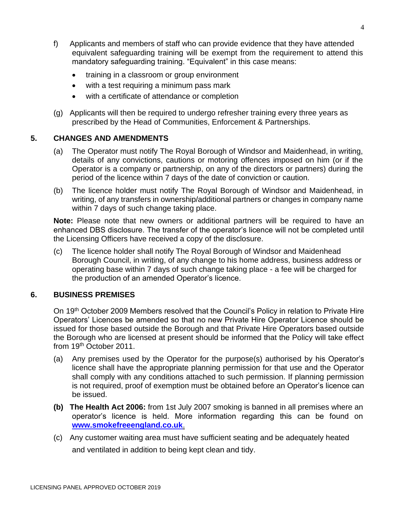- f) Applicants and members of staff who can provide evidence that they have attended equivalent safeguarding training will be exempt from the requirement to attend this mandatory safeguarding training. "Equivalent" in this case means:
	- training in a classroom or group environment
	- with a test requiring a minimum pass mark
	- with a certificate of attendance or completion
- (g) Applicants will then be required to undergo refresher training every three years as prescribed by the Head of Communities, Enforcement & Partnerships.

#### **5. CHANGES AND AMENDMENTS**

- (a) The Operator must notify The Royal Borough of Windsor and Maidenhead, in writing, details of any convictions, cautions or motoring offences imposed on him (or if the Operator is a company or partnership, on any of the directors or partners) during the period of the licence within 7 days of the date of conviction or caution.
- (b) The licence holder must notify The Royal Borough of Windsor and Maidenhead, in writing, of any transfers in ownership/additional partners or changes in company name within 7 days of such change taking place.

**Note:** Please note that new owners or additional partners will be required to have an enhanced DBS disclosure. The transfer of the operator's licence will not be completed until the Licensing Officers have received a copy of the disclosure.

(c) The licence holder shall notify The Royal Borough of Windsor and Maidenhead Borough Council, in writing, of any change to his home address, business address or operating base within 7 days of such change taking place - a fee will be charged for the production of an amended Operator's licence.

#### **6. BUSINESS PREMISES**

On 19<sup>th</sup> October 2009 Members resolved that the Council's Policy in relation to Private Hire Operators' Licences be amended so that no new Private Hire Operator Licence should be issued for those based outside the Borough and that Private Hire Operators based outside the Borough who are licensed at present should be informed that the Policy will take effect from 19<sup>th</sup> October 2011.

- (a) Any premises used by the Operator for the purpose(s) authorised by his Operator's licence shall have the appropriate planning permission for that use and the Operator shall comply with any conditions attached to such permission. If planning permission is not required, proof of exemption must be obtained before an Operator's licence can be issued.
- **(b) The Health Act 2006:** from 1st July 2007 smoking is banned in all premises where an operator's licence is held. More information regarding this can be found on **[www.smokefreeengland.co.uk](http://www.smokefreeengland.co.uk/)**.
- (c) Any customer waiting area must have sufficient seating and be adequately heated and ventilated in addition to being kept clean and tidy.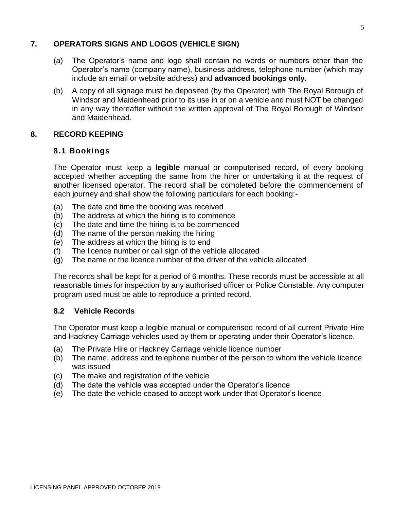#### **7. OPERATORS SIGNS AND LOGOS (VEHICLE SIGN)**

- (a) The Operator's name and logo shall contain no words or numbers other than the Operator's name (company name), business address, telephone number (which may include an email or website address) and **advanced bookings only.**
- (b) A copy of all signage must be deposited (by the Operator) with The Royal Borough of Windsor and Maidenhead prior to its use in or on a vehicle and must NOT be changed in any way thereafter without the written approval of The Royal Borough of Windsor and Maidenhead.

#### **8. RECORD KEEPING**

#### **8.1 Bookings**

The Operator must keep a **legible** manual or computerised record, of every booking accepted whether accepting the same from the hirer or undertaking it at the request of another licensed operator. The record shall be completed before the commencement of each journey and shall show the following particulars for each booking:-

- (a) The date and time the booking was received
- (b) The address at which the hiring is to commence
- (c) The date and time the hiring is to be commenced
- (d) The name of the person making the hiring
- (e) The address at which the hiring is to end
- (f) The licence number or call sign of the vehicle allocated
- (g) The name or the licence number of the driver of the vehicle allocated

The records shall be kept for a period of 6 months. These records must be accessible at all reasonable times for inspection by any authorised officer or Police Constable. Any computer program used must be able to reproduce a printed record.

#### **8.2 Vehicle Records**

The Operator must keep a legible manual or computerised record of all current Private Hire and Hackney Carriage vehicles used by them or operating under their Operator's licence.

- (a) The Private Hire or Hackney Carriage vehicle licence number
- (b) The name, address and telephone number of the person to whom the vehicle licence was issued
- (c) The make and registration of the vehicle
- (d) The date the vehicle was accepted under the Operator's licence
- (e) The date the vehicle ceased to accept work under that Operator's licence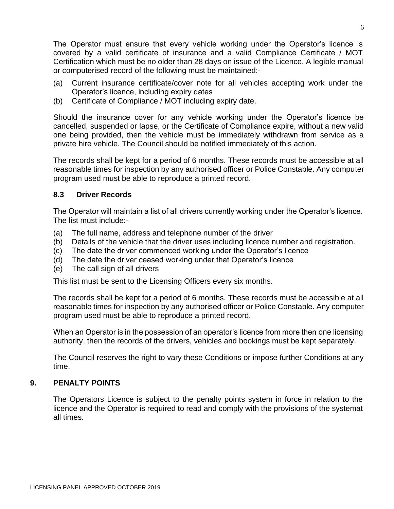The Operator must ensure that every vehicle working under the Operator's licence is covered by a valid certificate of insurance and a valid Compliance Certificate / MOT Certification which must be no older than 28 days on issue of the Licence. A legible manual or computerised record of the following must be maintained:-

- (a) Current insurance certificate/cover note for all vehicles accepting work under the Operator's licence, including expiry dates
- (b) Certificate of Compliance / MOT including expiry date.

Should the insurance cover for any vehicle working under the Operator's licence be cancelled, suspended or lapse, or the Certificate of Compliance expire, without a new valid one being provided, then the vehicle must be immediately withdrawn from service as a private hire vehicle. The Council should be notified immediately of this action.

The records shall be kept for a period of 6 months. These records must be accessible at all reasonable times for inspection by any authorised officer or Police Constable. Any computer program used must be able to reproduce a printed record.

#### **8.3 Driver Records**

The Operator will maintain a list of all drivers currently working under the Operator's licence. The list must include:-

- (a) The full name, address and telephone number of the driver
- (b) Details of the vehicle that the driver uses including licence number and registration.
- (c) The date the driver commenced working under the Operator's licence
- (d) The date the driver ceased working under that Operator's licence
- (e) The call sign of all drivers

This list must be sent to the Licensing Officers every six months.

The records shall be kept for a period of 6 months. These records must be accessible at all reasonable times for inspection by any authorised officer or Police Constable. Any computer program used must be able to reproduce a printed record.

When an Operator is in the possession of an operator's licence from more then one licensing authority, then the records of the drivers, vehicles and bookings must be kept separately.

The Council reserves the right to vary these Conditions or impose further Conditions at any time.

#### **9. PENALTY POINTS**

The Operators Licence is subject to the penalty points system in force in relation to the licence and the Operator is required to read and comply with the provisions of the systemat all times.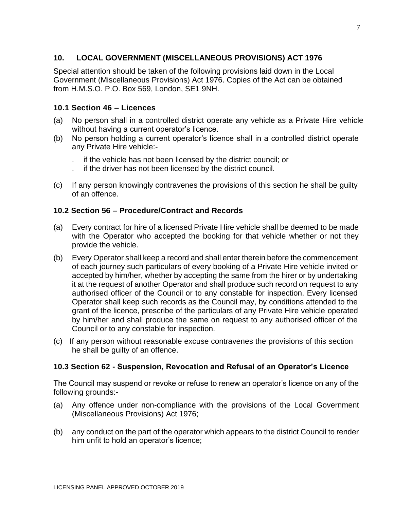#### **10. LOCAL GOVERNMENT (MISCELLANEOUS PROVISIONS) ACT 1976**

Special attention should be taken of the following provisions laid down in the Local Government (Miscellaneous Provisions) Act 1976. Copies of the Act can be obtained from H.M.S.O. P.O. Box 569, London, SE1 9NH.

#### **10.1 Section 46 – Licences**

- (a) No person shall in a controlled district operate any vehicle as a Private Hire vehicle without having a current operator's licence.
- (b) No person holding a current operator's licence shall in a controlled district operate any Private Hire vehicle:-
	- . if the vehicle has not been licensed by the district council; or
	- . if the driver has not been licensed by the district council.
- (c) If any person knowingly contravenes the provisions of this section he shall be guilty of an offence.

#### **10.2 Section 56 – Procedure/Contract and Records**

- (a) Every contract for hire of a licensed Private Hire vehicle shall be deemed to be made with the Operator who accepted the booking for that vehicle whether or not they provide the vehicle.
- (b) Every Operator shall keep a record and shall enter therein before the commencement of each journey such particulars of every booking of a Private Hire vehicle invited or accepted by him/her, whether by accepting the same from the hirer or by undertaking it at the request of another Operator and shall produce such record on request to any authorised officer of the Council or to any constable for inspection. Every licensed Operator shall keep such records as the Council may, by conditions attended to the grant of the licence, prescribe of the particulars of any Private Hire vehicle operated by him/her and shall produce the same on request to any authorised officer of the Council or to any constable for inspection.
- (c) If any person without reasonable excuse contravenes the provisions of this section he shall be guilty of an offence.

#### **10.3 Section 62 - Suspension, Revocation and Refusal of an Operator's Licence**

The Council may suspend or revoke or refuse to renew an operator's licence on any of the following grounds:-

- (a) Any offence under non-compliance with the provisions of the Local Government (Miscellaneous Provisions) Act 1976;
- (b) any conduct on the part of the operator which appears to the district Council to render him unfit to hold an operator's licence;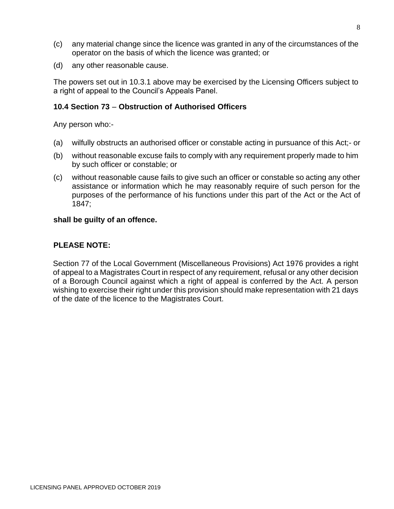- (c) any material change since the licence was granted in any of the circumstances of the operator on the basis of which the licence was granted; or
- (d) any other reasonable cause.

The powers set out in 10.3.1 above may be exercised by the Licensing Officers subject to a right of appeal to the Council's Appeals Panel.

#### **10.4 Section 73** – **Obstruction of Authorised Officers**

Any person who:-

- (a) wilfully obstructs an authorised officer or constable acting in pursuance of this Act;- or
- (b) without reasonable excuse fails to comply with any requirement properly made to him by such officer or constable; or
- (c) without reasonable cause fails to give such an officer or constable so acting any other assistance or information which he may reasonably require of such person for the purposes of the performance of his functions under this part of the Act or the Act of 1847;

#### **shall be guilty of an offence.**

#### **PLEASE NOTE:**

Section 77 of the Local Government (Miscellaneous Provisions) Act 1976 provides a right of appeal to a Magistrates Court in respect of any requirement, refusal or any other decision of a Borough Council against which a right of appeal is conferred by the Act. A person wishing to exercise their right under this provision should make representation with 21 days of the date of the licence to the Magistrates Court.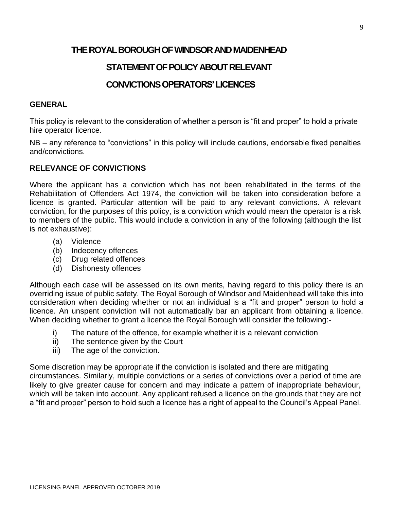### **THE ROYAL BOROUGH OF WINDSOR AND MAIDENHEAD**

# **STATEMENT OF POLICY ABOUT RELEVANT**

# **CONVICTIONS OPERATORS' LICENCES**

#### **GENERAL**

This policy is relevant to the consideration of whether a person is "fit and proper" to hold a private hire operator licence.

NB – any reference to "convictions" in this policy will include cautions, endorsable fixed penalties and/convictions.

#### **RELEVANCE OF CONVICTIONS**

Where the applicant has a conviction which has not been rehabilitated in the terms of the Rehabilitation of Offenders Act 1974, the conviction will be taken into consideration before a licence is granted. Particular attention will be paid to any relevant convictions. A relevant conviction, for the purposes of this policy, is a conviction which would mean the operator is a risk to members of the public. This would include a conviction in any of the following (although the list is not exhaustive):

- (a) Violence
- (b) Indecency offences
- (c) Drug related offences
- (d) Dishonesty offences

Although each case will be assessed on its own merits, having regard to this policy there is an overriding issue of public safety. The Royal Borough of Windsor and Maidenhead will take this into consideration when deciding whether or not an individual is a "fit and proper" person to hold a licence. An unspent conviction will not automatically bar an applicant from obtaining a licence. When deciding whether to grant a licence the Royal Borough will consider the following:-

- i) The nature of the offence, for example whether it is a relevant conviction
- ii) The sentence given by the Court
- iii) The age of the conviction.

Some discretion may be appropriate if the conviction is isolated and there are mitigating circumstances. Similarly, multiple convictions or a series of convictions over a period of time are likely to give greater cause for concern and may indicate a pattern of inappropriate behaviour, which will be taken into account. Any applicant refused a licence on the grounds that they are not a "fit and proper" person to hold such a licence has a right of appeal to the Council's Appeal Panel.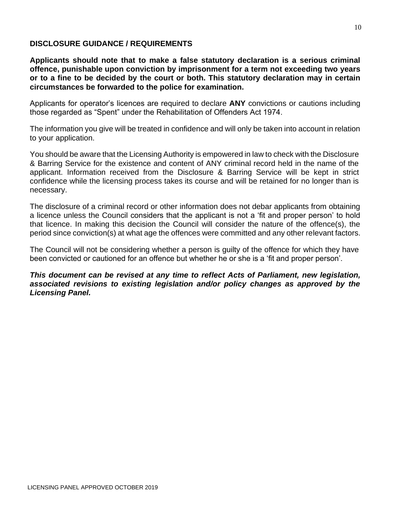#### **DISCLOSURE GUIDANCE / REQUIREMENTS**

**Applicants should note that to make a false statutory declaration is a serious criminal offence, punishable upon conviction by imprisonment for a term not exceeding two years or to a fine to be decided by the court or both. This statutory declaration may in certain circumstances be forwarded to the police for examination.**

Applicants for operator's licences are required to declare **ANY** convictions or cautions including those regarded as "Spent" under the Rehabilitation of Offenders Act 1974.

The information you give will be treated in confidence and will only be taken into account in relation to your application.

You should be aware that the Licensing Authority is empowered in law to check with the Disclosure & Barring Service for the existence and content of ANY criminal record held in the name of the applicant. Information received from the Disclosure & Barring Service will be kept in strict confidence while the licensing process takes its course and will be retained for no longer than is necessary.

The disclosure of a criminal record or other information does not debar applicants from obtaining a licence unless the Council considers that the applicant is not a 'fit and proper person' to hold that licence. In making this decision the Council will consider the nature of the offence(s), the period since conviction(s) at what age the offences were committed and any other relevant factors.

The Council will not be considering whether a person is guilty of the offence for which they have been convicted or cautioned for an offence but whether he or she is a 'fit and proper person'.

*This document can be revised at any time to reflect Acts of Parliament, new legislation, associated revisions to existing legislation and/or policy changes as approved by the Licensing Panel.*